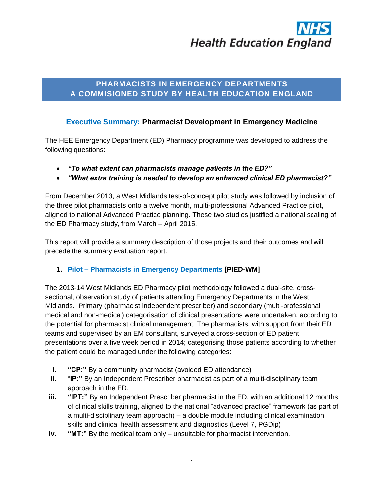# **Health Education England**

# **PHARMACISTS IN EMERGENCY DEPARTMENTS A COMMISIONED STUDY BY HEALTH EDUCATION ENGLAND**

# **Executive Summary: Pharmacist Development in Emergency Medicine**

The HEE Emergency Department (ED) Pharmacy programme was developed to address the following questions:

- *"To what extent can pharmacists manage patients in the ED?"*
- *"What extra training is needed to develop an enhanced clinical ED pharmacist?"*

From December 2013, a West Midlands test-of-concept pilot study was followed by inclusion of the three pilot pharmacists onto a twelve month, multi-professional Advanced Practice pilot, aligned to national Advanced Practice planning. These two studies justified a national scaling of the ED Pharmacy study, from March – April 2015.

This report will provide a summary description of those projects and their outcomes and will precede the summary evaluation report.

# **1. Pilot – Pharmacists in Emergency Departments [PIED-WM]**

The 2013-14 West Midlands ED Pharmacy pilot methodology followed a dual-site, crosssectional, observation study of patients attending Emergency Departments in the West Midlands. Primary (pharmacist independent prescriber) and secondary (multi-professional medical and non-medical) categorisation of clinical presentations were undertaken, according to the potential for pharmacist clinical management. The pharmacists, with support from their ED teams and supervised by an EM consultant, surveyed a cross-section of ED patient presentations over a five week period in 2014; categorising those patients according to whether the patient could be managed under the following categories:

- **i. "CP:**" By a community pharmacist (avoided ED attendance)
- **ii.** "**IP:"** By an Independent Prescriber pharmacist as part of a multi-disciplinary team approach in the ED.
- **iii.** "IPT:" By an Independent Prescriber pharmacist in the ED, with an additional 12 months of clinical skills training, aligned to the national "advanced practice" framework (as part of a multi-disciplinary team approach) – a double module including clinical examination skills and clinical health assessment and diagnostics (Level 7, PGDip)
- **iv. "MT:"** By the medical team only unsuitable for pharmacist intervention.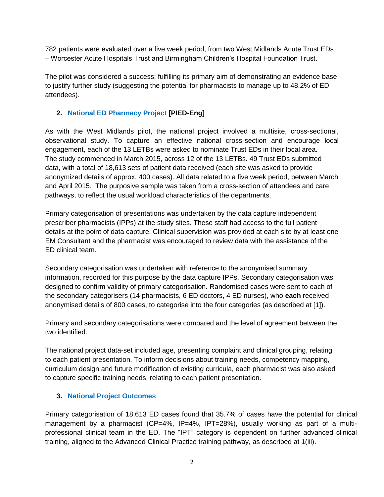782 patients were evaluated over a five week period, from two West Midlands Acute Trust EDs – Worcester Acute Hospitals Trust and Birmingham Children's Hospital Foundation Trust.

The pilot was considered a success; fulfilling its primary aim of demonstrating an evidence base to justify further study (suggesting the potential for pharmacists to manage up to 48.2% of ED attendees).

# **2. National ED Pharmacy Project [PIED-Eng]**

As with the West Midlands pilot, the national project involved a multisite, cross-sectional, observational study. To capture an effective national cross-section and encourage local engagement, each of the 13 LETBs were asked to nominate Trust EDs in their local area. The study commenced in March 2015, across 12 of the 13 LETBs. 49 Trust EDs submitted data, with a total of 18,613 sets of patient data received (each site was asked to provide anonymized details of approx. 400 cases). All data related to a five week period, between March and April 2015. The purposive sample was taken from a cross-section of attendees and care pathways, to reflect the usual workload characteristics of the departments.

Primary categorisation of presentations was undertaken by the data capture independent prescriber pharmacists (IPPs) at the study sites. These staff had access to the full patient details at the point of data capture. Clinical supervision was provided at each site by at least one EM Consultant and the pharmacist was encouraged to review data with the assistance of the ED clinical team.

Secondary categorisation was undertaken with reference to the anonymised summary information, recorded for this purpose by the data capture IPPs. Secondary categorisation was designed to confirm validity of primary categorisation. Randomised cases were sent to each of the secondary categorisers (14 pharmacists, 6 ED doctors, 4 ED nurses), who **each** received anonymised details of 800 cases, to categorise into the four categories (as described at [1]).

Primary and secondary categorisations were compared and the level of agreement between the two identified.

The national project data-set included age, presenting complaint and clinical grouping, relating to each patient presentation. To inform decisions about training needs, competency mapping, curriculum design and future modification of existing curricula, each pharmacist was also asked to capture specific training needs, relating to each patient presentation.

# **3. National Project Outcomes**

Primary categorisation of 18,613 ED cases found that 35.7% of cases have the potential for clinical management by a pharmacist (CP=4%, IP=4%, IPT=28%), usually working as part of a multiprofessional clinical team in the ED. The "IPT" category is dependent on further advanced clinical training, aligned to the Advanced Clinical Practice training pathway, as described at 1(iii).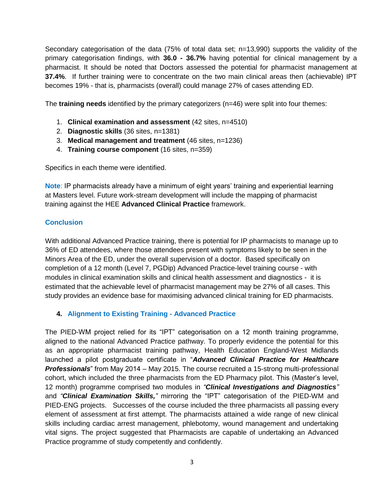Secondary categorisation of the data (75% of total data set; n=13,990) supports the validity of the primary categorisation findings, with **36.0 - 36.7%** having potential for clinical management by a pharmacist. It should be noted that Doctors assessed the potential for pharmacist management at **37.4%**. If further training were to concentrate on the two main clinical areas then (achievable) IPT becomes 19% - that is, pharmacists (overall) could manage 27% of cases attending ED.

The **training needs** identified by the primary categorizers (n=46) were split into four themes:

- 1. **Clinical examination and assessment** (42 sites, n=4510)
- 2. **Diagnostic skills** (36 sites, n=1381)
- 3. **Medical management and treatment** (46 sites, n=1236)
- 4. **Training course component** (16 sites, n=359)

Specifics in each theme were identified.

**Note**: IP pharmacists already have a minimum of eight years' training and experiential learning at Masters level. Future work-stream development will include the mapping of pharmacist training against the HEE **Advanced Clinical Practice** framework.

# **Conclusion**

With additional Advanced Practice training, there is potential for IP pharmacists to manage up to 36% of ED attendees, where those attendees present with symptoms likely to be seen in the Minors Area of the ED, under the overall supervision of a doctor. Based specifically on completion of a 12 month (Level 7, PGDip) Advanced Practice-level training course - with modules in clinical examination skills and clinical health assessment and diagnostics - it is estimated that the achievable level of pharmacist management may be 27% of all cases. This study provides an evidence base for maximising advanced clinical training for ED pharmacists.

# **4. Alignment to Existing Training - Advanced Practice**

The PIED-WM project relied for its "IPT" categorisation on a 12 month training programme, aligned to the national Advanced Practice pathway. To properly evidence the potential for this as an appropriate pharmacist training pathway, Health Education England-West Midlands launched a pilot postgraduate certificate in "*Advanced Clinical Practice for Healthcare Professionals*" from May 2014 – May 2015. The course recruited a 15-strong multi-professional cohort, which included the three pharmacists from the ED Pharmacy pilot. This (Master's level, 12 month) programme comprised two modules in *"Clinical Investigations and Diagnostics"* and *"Clinical Examination Skills,"* mirroring the "IPT" categorisation of the PIED-WM and PIED-ENG projects. Successes of the course included the three pharmacists all passing every element of assessment at first attempt. The pharmacists attained a wide range of new clinical skills including cardiac arrest management, phlebotomy, wound management and undertaking vital signs. The project suggested that Pharmacists are capable of undertaking an Advanced Practice programme of study competently and confidently.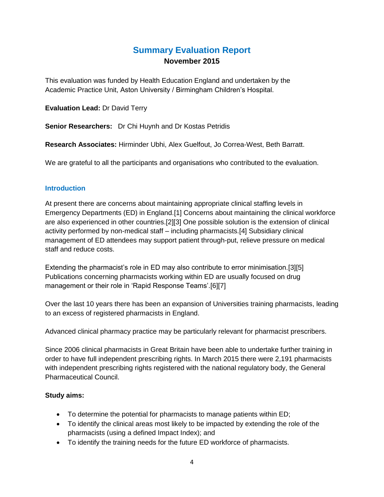# **Summary Evaluation Report November 2015**

This evaluation was funded by Health Education England and undertaken by the Academic Practice Unit, Aston University / Birmingham Children's Hospital.

**Evaluation Lead:** Dr David Terry

**Senior Researchers:** Dr Chi Huynh and Dr Kostas Petridis

**Research Associates:** Hirminder Ubhi, Alex Guelfout, Jo Correa-West, Beth Barratt.

We are grateful to all the participants and organisations who contributed to the evaluation.

# **Introduction**

At present there are concerns about maintaining appropriate clinical staffing levels in Emergency Departments (ED) in England.[1] Concerns about maintaining the clinical workforce are also experienced in other countries.[2][3] One possible solution is the extension of clinical activity performed by non-medical staff – including pharmacists.[4] Subsidiary clinical management of ED attendees may support patient through-put, relieve pressure on medical staff and reduce costs.

Extending the pharmacist's role in ED may also contribute to error minimisation.[3][5] Publications concerning pharmacists working within ED are usually focused on drug management or their role in 'Rapid Response Teams'.[6][7]

Over the last 10 years there has been an expansion of Universities training pharmacists, leading to an excess of registered pharmacists in England.

Advanced clinical pharmacy practice may be particularly relevant for pharmacist prescribers.

Since 2006 clinical pharmacists in Great Britain have been able to undertake further training in order to have full independent prescribing rights. In March 2015 there were 2,191 pharmacists with independent prescribing rights registered with the national regulatory body, the General Pharmaceutical Council.

# **Study aims:**

- To determine the potential for pharmacists to manage patients within ED;
- To identify the clinical areas most likely to be impacted by extending the role of the pharmacists (using a defined Impact Index); and
- To identify the training needs for the future ED workforce of pharmacists.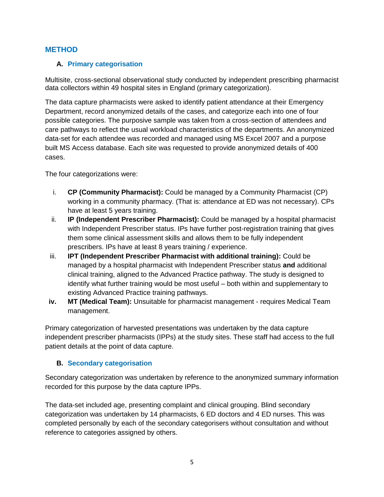# **METHOD**

### **A. Primary categorisation**

Multisite, cross-sectional observational study conducted by independent prescribing pharmacist data collectors within 49 hospital sites in England (primary categorization).

The data capture pharmacists were asked to identify patient attendance at their Emergency Department, record anonymized details of the cases, and categorize each into one of four possible categories. The purposive sample was taken from a cross-section of attendees and care pathways to reflect the usual workload characteristics of the departments. An anonymized data-set for each attendee was recorded and managed using MS Excel 2007 and a purpose built MS Access database. Each site was requested to provide anonymized details of 400 cases.

The four categorizations were:

- i. **CP (Community Pharmacist):** Could be managed by a Community Pharmacist (CP) working in a community pharmacy. (That is: attendance at ED was not necessary). CPs have at least 5 years training.
- ii. **IP (Independent Prescriber Pharmacist):** Could be managed by a hospital pharmacist with Independent Prescriber status. IPs have further post-registration training that gives them some clinical assessment skills and allows them to be fully independent prescribers. IPs have at least 8 years training / experience.
- iii. **IPT (Independent Prescriber Pharmacist with additional training):** Could be managed by a hospital pharmacist with Independent Prescriber status **and** additional clinical training, aligned to the Advanced Practice pathway. The study is designed to identify what further training would be most useful – both within and supplementary to existing Advanced Practice training pathways.
- **iv. MT (Medical Team):** Unsuitable for pharmacist management requires Medical Team management.

Primary categorization of harvested presentations was undertaken by the data capture independent prescriber pharmacists (IPPs) at the study sites. These staff had access to the full patient details at the point of data capture.

# **B. Secondary categorisation**

Secondary categorization was undertaken by reference to the anonymized summary information recorded for this purpose by the data capture IPPs.

The data-set included age, presenting complaint and clinical grouping. Blind secondary categorization was undertaken by 14 pharmacists, 6 ED doctors and 4 ED nurses. This was completed personally by each of the secondary categorisers without consultation and without reference to categories assigned by others.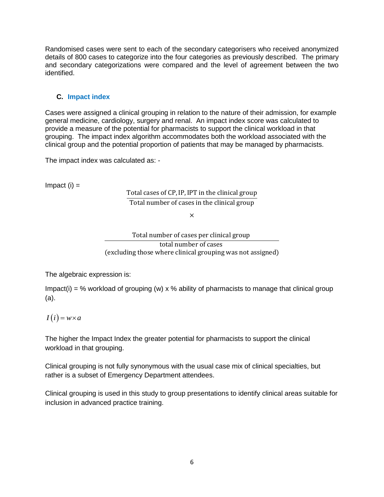Randomised cases were sent to each of the secondary categorisers who received anonymized details of 800 cases to categorize into the four categories as previously described. The primary and secondary categorizations were compared and the level of agreement between the two identified.

# **C. Impact index**

Cases were assigned a clinical grouping in relation to the nature of their admission, for example general medicine, cardiology, surgery and renal. An impact index score was calculated to provide a measure of the potential for pharmacists to support the clinical workload in that grouping. The impact index algorithm accommodates both the workload associated with the clinical group and the potential proportion of patients that may be managed by pharmacists.

The impact index was calculated as: -

 $Im$ pact  $(i) =$ 

Total cases of CP,IP, IPT in the clinical group Total number of cases in the clinical group

×

Total number of cases per clinical group total number of cases (excluding those where clinical grouping was not assigned)

The algebraic expression is:

Impact(i) = % workload of grouping (w)  $\times$  % ability of pharmacists to manage that clinical group (a).

# $I(i) = w \times a$

The higher the Impact Index the greater potential for pharmacists to support the clinical workload in that grouping.

Clinical grouping is not fully synonymous with the usual case mix of clinical specialties, but rather is a subset of Emergency Department attendees.

Clinical grouping is used in this study to group presentations to identify clinical areas suitable for inclusion in advanced practice training.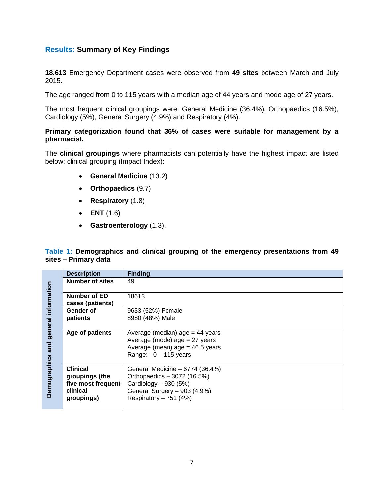# **Results: Summary of Key Findings**

**18,613** Emergency Department cases were observed from **49 sites** between March and July 2015.

The age ranged from 0 to 115 years with a median age of 44 years and mode age of 27 years.

The most frequent clinical groupings were: General Medicine (36.4%), Orthopaedics (16.5%), Cardiology (5%), General Surgery (4.9%) and Respiratory (4%).

#### **Primary categorization found that 36% of cases were suitable for management by a pharmacist.**

The **clinical groupings** where pharmacists can potentially have the highest impact are listed below: clinical grouping (Impact Index):

- **General Medicine** (13.2)
- **Orthopaedics** (9.7)
- **Respiratory** (1.8)
- **ENT** (1.6)
- **Gastroenterology** (1.3).

**Table 1: Demographics and clinical grouping of the emergency presentations from 49 sites – Primary data**

|                             | <b>Description</b>     | <b>Finding</b>                                                                                                                       |
|-----------------------------|------------------------|--------------------------------------------------------------------------------------------------------------------------------------|
| information                 | <b>Number of sites</b> | 49                                                                                                                                   |
|                             | Number of ED           | 18613                                                                                                                                |
|                             | cases (patients)       |                                                                                                                                      |
|                             | Gender of              | 9633 (52%) Female                                                                                                                    |
|                             | patients               | 8980 (48%) Male                                                                                                                      |
|                             |                        |                                                                                                                                      |
| general<br>Demographics and | Age of patients        | Average (median) $age = 44$ years<br>Average (mode) $age = 27$ years<br>Average (mean) $age = 46.5$ years<br>Range: $-0 - 115$ years |
|                             | <b>Clinical</b>        | General Medicine - 6774 (36.4%)                                                                                                      |
|                             | groupings (the         | Orthopaedics - 3072 (16.5%)                                                                                                          |
|                             | five most frequent     | Cardiology $-930(5%)$                                                                                                                |
|                             | clinical               | General Surgery - 903 (4.9%)                                                                                                         |
|                             | groupings)             | Respiratory - 751 (4%)                                                                                                               |
|                             |                        |                                                                                                                                      |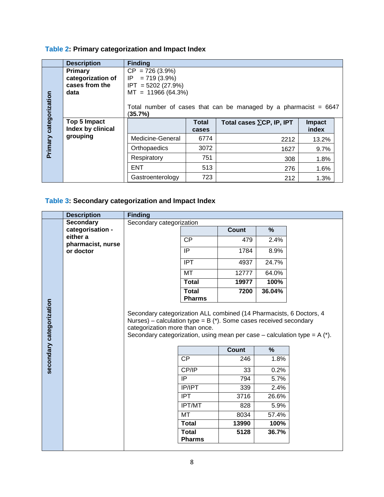# **Table 2: Primary categorization and Impact Index**

|                        | <b>Description</b> | <b>Finding</b>                                                                |              |                                  |               |  |  |  |  |
|------------------------|--------------------|-------------------------------------------------------------------------------|--------------|----------------------------------|---------------|--|--|--|--|
|                        | <b>Primary</b>     | $CP = 726 (3.9\%)$                                                            |              |                                  |               |  |  |  |  |
|                        | categorization of  | $= 719(3.9\%)$<br>IP.                                                         |              |                                  |               |  |  |  |  |
|                        | cases from the     | $IPT = 5202 (27.9%)$                                                          |              |                                  |               |  |  |  |  |
|                        | data               | $MT = 11966 (64.3%)$                                                          |              |                                  |               |  |  |  |  |
| Primary categorization |                    | Total number of cases that can be managed by a pharmacist $= 6647$<br>(35.7%) |              |                                  |               |  |  |  |  |
|                        | Top 5 Impact       |                                                                               | <b>Total</b> | Total cases $\Sigma$ CP, IP, IPT | <b>Impact</b> |  |  |  |  |
|                        | Index by clinical  |                                                                               | cases        |                                  | index         |  |  |  |  |
|                        | grouping           | Medicine-General                                                              | 6774         | 2212                             | 13.2%         |  |  |  |  |
|                        |                    | Orthopaedics                                                                  | 3072         | 1627                             | 9.7%          |  |  |  |  |
|                        |                    | Respiratory                                                                   | 751          | 308                              | 1.8%          |  |  |  |  |
|                        |                    | <b>ENT</b>                                                                    | 513          | 276                              | 1.6%          |  |  |  |  |
|                        |                    | Gastroenterology                                                              | 723          | 212                              | 1.3%          |  |  |  |  |

# **Table 3: Secondary categorization and Impact Index**

|                          | <b>Description</b>            | <b>Finding</b>                                                                                                                                                                           |                               |              |        |                                                                     |  |
|--------------------------|-------------------------------|------------------------------------------------------------------------------------------------------------------------------------------------------------------------------------------|-------------------------------|--------------|--------|---------------------------------------------------------------------|--|
|                          | <b>Secondary</b>              | Secondary categorization                                                                                                                                                                 |                               |              |        |                                                                     |  |
|                          | categorisation -              |                                                                                                                                                                                          |                               | Count        | %      |                                                                     |  |
|                          | either a<br>pharmacist, nurse |                                                                                                                                                                                          | <b>CP</b>                     | 479          | 2.4%   |                                                                     |  |
|                          | or doctor                     |                                                                                                                                                                                          | IP                            | 1784         | 8.9%   |                                                                     |  |
|                          |                               |                                                                                                                                                                                          | <b>IPT</b>                    | 4937         | 24.7%  |                                                                     |  |
|                          |                               |                                                                                                                                                                                          | <b>MT</b>                     | 12777        | 64.0%  |                                                                     |  |
|                          |                               |                                                                                                                                                                                          | <b>Total</b>                  | 19977        | 100%   |                                                                     |  |
|                          |                               |                                                                                                                                                                                          | <b>Total</b><br><b>Pharms</b> | 7200         | 36.04% |                                                                     |  |
|                          |                               | Nurses) – calculation type = $B$ ( $*$ ). Some cases received secondary<br>categorization more than once.<br>Secondary categorization, using mean per case – calculation type = $A$ (*). |                               |              |        | Secondary categorization ALL combined (14 Pharmacists, 6 Doctors, 4 |  |
|                          |                               |                                                                                                                                                                                          |                               | <b>Count</b> | $\%$   |                                                                     |  |
|                          |                               |                                                                                                                                                                                          | <b>CP</b>                     | 246          | 1.8%   |                                                                     |  |
| secondary categorization |                               |                                                                                                                                                                                          | CP/IP                         | 33           | 0.2%   |                                                                     |  |
|                          |                               |                                                                                                                                                                                          | IP                            | 794          | 5.7%   |                                                                     |  |
|                          |                               |                                                                                                                                                                                          | <b>IP/IPT</b>                 | 339          | 2.4%   |                                                                     |  |
|                          |                               |                                                                                                                                                                                          | <b>IPT</b>                    | 3716         | 26.6%  |                                                                     |  |
|                          |                               |                                                                                                                                                                                          | <b>IPT/MT</b>                 | 828          | 5.9%   |                                                                     |  |
|                          |                               |                                                                                                                                                                                          | <b>MT</b>                     | 8034         | 57.4%  |                                                                     |  |
|                          |                               |                                                                                                                                                                                          | <b>Total</b><br><b>Total</b>  | 13990        | 100%   |                                                                     |  |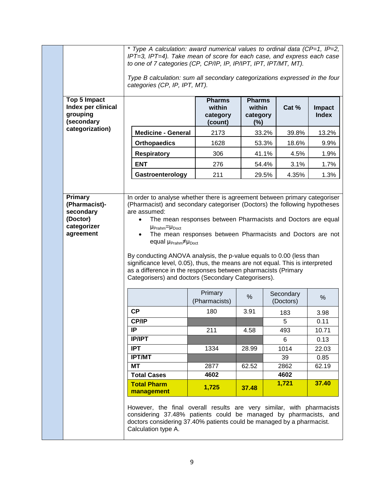|                                                              | * Type A calculation: award numerical values to ordinal data (CP=1, IP=2,<br>IPT=3, IPT=4). Take mean of score for each case, and express each case<br>to one of 7 categories (CP, CP/IP, IP, IP/IPT, IPT, IPT/MT, MT). |                                                                                                                                                                                                                                           |                                                                                                                            |                                               |       |                        |                        |  |
|--------------------------------------------------------------|-------------------------------------------------------------------------------------------------------------------------------------------------------------------------------------------------------------------------|-------------------------------------------------------------------------------------------------------------------------------------------------------------------------------------------------------------------------------------------|----------------------------------------------------------------------------------------------------------------------------|-----------------------------------------------|-------|------------------------|------------------------|--|
|                                                              |                                                                                                                                                                                                                         | Type B calculation: sum all secondary categorizations expressed in the four<br>categories (CP, IP, IPT, MT).                                                                                                                              |                                                                                                                            |                                               |       |                        |                        |  |
| Top 5 Impact<br>Index per clinical<br>grouping<br>(secondary |                                                                                                                                                                                                                         |                                                                                                                                                                                                                                           | <b>Pharms</b><br>within<br>category<br>(count)                                                                             | <b>Pharms</b><br>within<br>category<br>$(\%)$ |       | Cat %                  | Impact<br><b>Index</b> |  |
| categorization)                                              |                                                                                                                                                                                                                         | <b>Medicine - General</b>                                                                                                                                                                                                                 | 2173                                                                                                                       |                                               | 33.2% | 39.8%                  | 13.2%                  |  |
|                                                              |                                                                                                                                                                                                                         | <b>Orthopaedics</b>                                                                                                                                                                                                                       | 1628                                                                                                                       |                                               | 53.3% | 18.6%                  | 9.9%                   |  |
|                                                              |                                                                                                                                                                                                                         | <b>Respiratory</b>                                                                                                                                                                                                                        | 306                                                                                                                        |                                               | 41.1% | 4.5%                   | 1.9%                   |  |
|                                                              |                                                                                                                                                                                                                         | <b>ENT</b>                                                                                                                                                                                                                                | 276                                                                                                                        |                                               | 54.4% | 3.1%                   | 1.7%                   |  |
|                                                              |                                                                                                                                                                                                                         | Gastroenterology                                                                                                                                                                                                                          | 211                                                                                                                        |                                               | 29.5% | 4.35%                  | 1.3%                   |  |
| <b>Primary</b><br>(Pharmacist)-                              |                                                                                                                                                                                                                         | In order to analyse whether there is agreement between primary categoriser<br>(Pharmacist) and secondary categoriser (Doctors) the following hypotheses                                                                                   |                                                                                                                            |                                               |       |                        |                        |  |
| secondary<br>(Doctor)<br>categorizer<br>agreement            | are assumed:<br>Categorisers) and doctors (Secondary Categorisers).                                                                                                                                                     | By conducting ANOVA analysis, the p-value equals to 0.00 (less than<br>significance level, 0.05), thus, the means are not equal. This is interpreted<br>as a difference in the responses between pharmacists (Primary                     | The mean responses between Pharmacists and Doctors are equal<br>The mean responses between Pharmacists and Doctors are not |                                               |       |                        |                        |  |
|                                                              |                                                                                                                                                                                                                         |                                                                                                                                                                                                                                           | Primary<br>(Pharmacists)                                                                                                   | $\%$                                          |       | Secondary<br>(Doctors) | %                      |  |
|                                                              |                                                                                                                                                                                                                         | <b>CP</b>                                                                                                                                                                                                                                 | 180                                                                                                                        | 3.91                                          |       | 183                    | 3.98                   |  |
|                                                              |                                                                                                                                                                                                                         | <b>CP/IP</b>                                                                                                                                                                                                                              |                                                                                                                            |                                               |       | 5                      | 0.11                   |  |
|                                                              |                                                                                                                                                                                                                         | IP                                                                                                                                                                                                                                        | 211                                                                                                                        | 4.58                                          |       | 493                    | 10.71                  |  |
|                                                              |                                                                                                                                                                                                                         | <b>IP/IPT</b>                                                                                                                                                                                                                             |                                                                                                                            |                                               |       | 6                      | 0.13                   |  |
|                                                              |                                                                                                                                                                                                                         | <b>IPT</b><br><b>IPT/MT</b>                                                                                                                                                                                                               | 1334                                                                                                                       | 28.99                                         |       | 1014<br>39             | 22.03<br>0.85          |  |
|                                                              |                                                                                                                                                                                                                         | <b>MT</b>                                                                                                                                                                                                                                 | 2877                                                                                                                       | 62.52                                         |       | 2862                   | 62.19                  |  |
|                                                              |                                                                                                                                                                                                                         | <b>Total Cases</b>                                                                                                                                                                                                                        | 4602                                                                                                                       |                                               |       | 4602                   |                        |  |
|                                                              |                                                                                                                                                                                                                         | <b>Total Pharm</b><br>management                                                                                                                                                                                                          | 1,725                                                                                                                      | 37.48                                         |       | 1,721                  | 37.40                  |  |
|                                                              |                                                                                                                                                                                                                         | However, the final overall results are very similar, with pharmacists<br>considering 37.48% patients could be managed by pharmacists, and<br>doctors considering 37.40% patients could be managed by a pharmacist.<br>Calculation type A. |                                                                                                                            |                                               |       |                        |                        |  |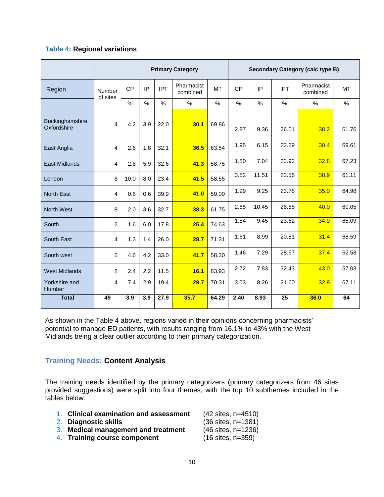# **Table 4: Regional variations**

|                                |                    | <b>Primary Category</b> |      |               | <b>Secondary Category (calc type B)</b> |           |           |       |            |                        |           |
|--------------------------------|--------------------|-------------------------|------|---------------|-----------------------------------------|-----------|-----------|-------|------------|------------------------|-----------|
| Region                         | Number<br>of sites | <b>CP</b>               | IP   | <b>IPT</b>    | Pharmacist<br>combined                  | <b>MT</b> | <b>CP</b> | IP    | <b>IPT</b> | Pharmacist<br>combined | <b>MT</b> |
|                                |                    | $\%$                    | $\%$ | $\frac{0}{0}$ | $\%$                                    | $\%$      | %         | $\%$  | $\%$       | $\%$                   | $\%$      |
| Buckinghamshire<br>Oxfordshire | 4                  | 4.2                     | 3.9  | 22.0          | 30.1                                    | 69.86     | 2.87      | 9.36  | 26.01      | 38.2                   | 61.76     |
| East Anglia                    | 4                  | 2.6                     | 1.8  | 32.1          | 36.5                                    | 63.54     | 1.95      | 6.15  | 22.29      | 30.4                   | 69.61     |
| <b>East Midlands</b>           | 4                  | 2.8                     | 5.9  | 32.6          | 41.3                                    | 58.75     | 1.80      | 7.04  | 23.93      | 32.8                   | 67.23     |
| London                         | 8                  | 10.0                    | 8.0  | 23.4          | 41.5                                    | 58.55     | 3.82      | 11.51 | 23.56      | 38.9                   | 61.11     |
| <b>North East</b>              | 4                  | 0.6                     | 0.6  | 39.9          | 41.0                                    | 59.00     | 1.99      | 9.25  | 23.78      | 35.0                   | 64.98     |
| <b>North West</b>              | 8                  | 2.0                     | 3.6  | 32.7          | 38.3                                    | 61.75     | 2.65      | 10.45 | 26.85      | 40.0                   | 60.05     |
| South                          | $\overline{2}$     | 1.6                     | 6.0  | 17.8          | 25.4                                    | 74.63     | 1.84      | 9.45  | 23.62      | 34.9                   | 65.09     |
| South East                     | 4                  | 1.3                     | 1.4  | 26.0          | 28.7                                    | 71.31     | 1.61      | 8.99  | 20.81      | 31.4                   | 68.59     |
| South west                     | 5                  | 4.6                     | 4.2  | 33.0          | 41.7                                    | 58.30     | 1.46      | 7.29  | 28.67      | 37.4                   | 62.58     |
| <b>West Midlands</b>           | $\overline{2}$     | 2.4                     | 2.2  | 11.5          | 16.1                                    | 83.93     | 2.72      | 7.83  | 32.43      | 43.0                   | 57.03     |
| Yorkshire and<br><b>Humber</b> | $\overline{4}$     | 7.4                     | 2.9  | 19.4          | 29.7                                    | 70.31     | 3.03      | 8.26  | 21.60      | 32.9                   | 67.11     |
| <b>Total</b>                   | 49                 | 3.9                     | 3.9  | 27.9          | 35.7                                    | 64.29     | 2.40      | 8.93  | 25         | 36.0                   | 64        |

As shown in the Table 4 above, regions varied in their opinions concerning pharmacists' potential to manage ED patients, with results ranging from 16.1% to 43% with the West Midlands being a clear outlier according to their primary categorization.

# **Training Needs: Content Analysis**

The training needs identified by the primary categorizers (primary categorizers from 46 sites provided suggestions) were split into four themes, with the top 10 subthemes included in the tables below:

- 1. **Clinical examination and assessment** (42 sites, n=4510)
- 2. Diagnostic skills
- 3. **Medical management and treatment** (46 sites, n=1236)
- 4. **Training course component** (16 sites, n=359)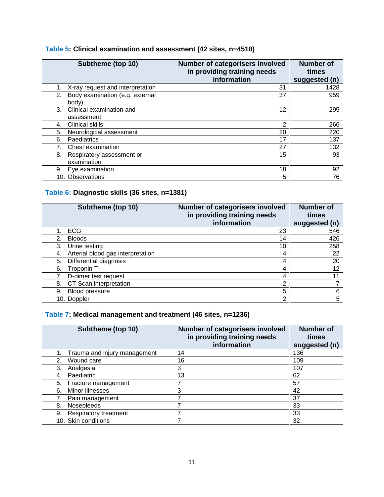| Subtheme (top 10)                              | Number of categorisers involved<br>in providing training needs<br>information | <b>Number of</b><br>times<br>suggested (n) |
|------------------------------------------------|-------------------------------------------------------------------------------|--------------------------------------------|
| X-ray request and interpretation               | 31                                                                            | 1428                                       |
| Body examination (e.g. external<br>2.<br>body) | 37                                                                            | 959                                        |
| Clinical examination and<br>3.<br>assessment   | 12                                                                            | 295                                        |
| <b>Clinical skills</b><br>4.                   | 2                                                                             | 266                                        |
| 5.<br>Neurological assessment                  | 20                                                                            | 220                                        |
| Paediatrics<br>6.                              | 17                                                                            | 137                                        |
| Chest examination<br>7 <sub>1</sub>            | 27                                                                            | 132                                        |
| 8.<br>Respiratory assessment or<br>examination | 15                                                                            | 93                                         |
| Eye examination<br>9.                          | 18                                                                            | 92                                         |
| 10. Observations                               | 5                                                                             | 76                                         |

# **Table 5: Clinical examination and assessment (42 sites, n=4510)**

# **Table 6: Diagnostic skills (36 sites, n=1381)**

| Subtheme (top 10)                       | Number of categorisers involved<br>in providing training needs | <b>Number of</b><br>times |
|-----------------------------------------|----------------------------------------------------------------|---------------------------|
|                                         | information                                                    | suggested (n)             |
| <b>ECG</b>                              | 23                                                             | 546                       |
| <b>Bloods</b><br>2.                     | 14                                                             | 426                       |
| Urine testing<br>3.                     | 10                                                             | 258                       |
| Arterial blood gas interpretation<br>4. | 4                                                              | 22                        |
| Differential diagnosis<br>5.            | 4                                                              | 20                        |
| 6.<br>Troponin T                        | 4                                                              | 12                        |
| D-dimer test request                    | 4                                                              |                           |
| CT Scan interpretation<br>8.            | 2                                                              |                           |
| Blood pressure<br>9.                    | 5                                                              | 6                         |
| 10. Doppler                             | 2                                                              | 5                         |

# **Table 7: Medical management and treatment (46 sites, n=1236)**

| Subtheme (top 10)                  | Number of categorisers involved<br>in providing training needs<br>information | <b>Number of</b><br>times<br>suggested (n) |
|------------------------------------|-------------------------------------------------------------------------------|--------------------------------------------|
| Trauma and injury management<br>1. | 14                                                                            | 136                                        |
| Wound care<br>2.                   | 16                                                                            | 109                                        |
| 3.<br>Analgesia                    | 3                                                                             | 107                                        |
| Paediatric<br>4.                   | 13                                                                            | 62                                         |
| Fracture management<br>5.          | 7                                                                             | 57                                         |
| Minor illnesses<br>6.              | 3                                                                             | 42                                         |
| Pain management                    | 7                                                                             | 37                                         |
| <b>Nosebleeds</b><br>8.            | 7                                                                             | 33                                         |
| Respiratory treatment<br>9.        | 7                                                                             | 33                                         |
| 10. Skin conditions                |                                                                               | 32                                         |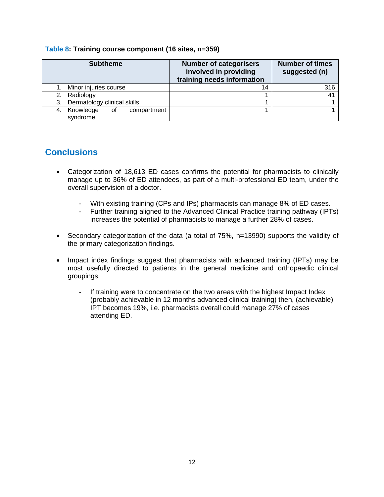| <b>Subtheme</b>                                  | <b>Number of categorisers</b><br>involved in providing<br>training needs information | <b>Number of times</b><br>suggested (n) |
|--------------------------------------------------|--------------------------------------------------------------------------------------|-----------------------------------------|
| Minor injuries course                            | 14                                                                                   | 316                                     |
| Radiology<br>2.                                  |                                                                                      | 4 <sup>1</sup>                          |
| Dermatology clinical skills<br>3.                |                                                                                      |                                         |
| Knowledge<br>compartment<br>οf<br>4.<br>syndrome |                                                                                      |                                         |

#### **Table 8: Training course component (16 sites, n=359)**

# **Conclusions**

- Categorization of 18,613 ED cases confirms the potential for pharmacists to clinically manage up to 36% of ED attendees, as part of a multi-professional ED team, under the overall supervision of a doctor.
	- With existing training (CPs and IPs) pharmacists can manage 8% of ED cases.
	- Further training aligned to the Advanced Clinical Practice training pathway (IPTs) increases the potential of pharmacists to manage a further 28% of cases.
- Secondary categorization of the data (a total of 75%, n=13990) supports the validity of the primary categorization findings.
- Impact index findings suggest that pharmacists with advanced training (IPTs) may be most usefully directed to patients in the general medicine and orthopaedic clinical groupings.
	- If training were to concentrate on the two areas with the highest Impact Index (probably achievable in 12 months advanced clinical training) then, (achievable) IPT becomes 19%, i.e. pharmacists overall could manage 27% of cases attending ED.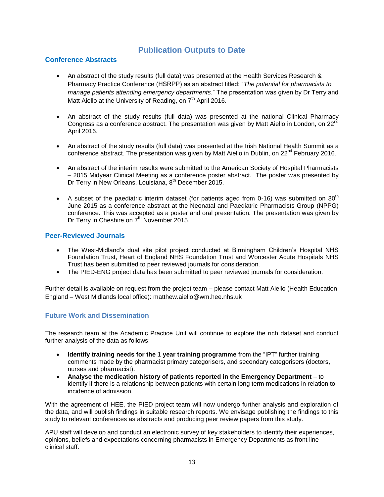# **Publication Outputs to Date**

#### **Conference Abstracts**

- An abstract of the study results (full data) was presented at the [Health Services Research &](http://www.pharmacyresearchuk.org/policy-and-practice/networking-events/health-services-research-pharmacy-practice/)  [Pharmacy Practice Conference](http://www.pharmacyresearchuk.org/policy-and-practice/networking-events/health-services-research-pharmacy-practice/) (HSRPP) as an abstract titled: "*The potential for pharmacists to manage patients attending emergency departments.*" The presentation was given by Dr Terry and Matt Aiello at the University of Reading, on  $7<sup>th</sup>$  April 2016.
- An abstract of the study results (full data) was presented at the national Clinical Pharmacy Congress as a conference abstract. The presentation was given by Matt Aiello in London, on  $22^n$ April 2016.
- An abstract of the study results (full data) was presented at the Irish National Health Summit as a conference abstract. The presentation was given by Matt Aiello in Dublin, on  $22^{nd}$  February 2016.
- An abstract of the interim results were submitted to the American Society of Hospital Pharmacists – 2015 Midyear Clinical Meeting as a conference poster abstract. The poster was presented by Dr Terry in New Orleans, Louisiana, 8<sup>th</sup> December 2015.
- A subset of the paediatric interim dataset (for patients aged from 0-16) was submitted on 30<sup>th</sup> June 2015 as a conference abstract at the Neonatal and Paediatric Pharmacists Group (NPPG) conference. This was accepted as a poster and oral presentation. The presentation was given by Dr Terry in Cheshire on 7<sup>th</sup> November 2015.

#### **Peer-Reviewed Journals**

- The West-Midland's dual site pilot project conducted at Birmingham Children's Hospital NHS Foundation Trust, Heart of England NHS Foundation Trust and Worcester Acute Hospitals NHS Trust has been submitted to peer reviewed journals for consideration.
- The PIED-ENG project data has been submitted to peer reviewed journals for consideration.

Further detail is available on request from the project team – please contact Matt Aiello (Health Education England – West Midlands local office): [matthew.aiello@wm.hee.nhs.uk](mailto:matthew.aiello@wm.hee.nhs.uk)

#### **Future Work and Dissemination**

The research team at the Academic Practice Unit will continue to explore the rich dataset and conduct further analysis of the data as follows:

- **Identify training needs for the 1 year training programme** from the "IPT" further training comments made by the pharmacist primary categorisers, and secondary categorisers (doctors, nurses and pharmacist).
- **Analyse the medication history of patients reported in the Emergency Department**  to identify if there is a relationship between patients with certain long term medications in relation to incidence of admission.

With the agreement of HEE, the PIED project team will now undergo further analysis and exploration of the data, and will publish findings in suitable research reports. We envisage publishing the findings to this study to relevant conferences as abstracts and producing peer review papers from this study.

APU staff will develop and conduct an electronic survey of key stakeholders to identify their experiences, opinions, beliefs and expectations concerning pharmacists in Emergency Departments as front line clinical staff.